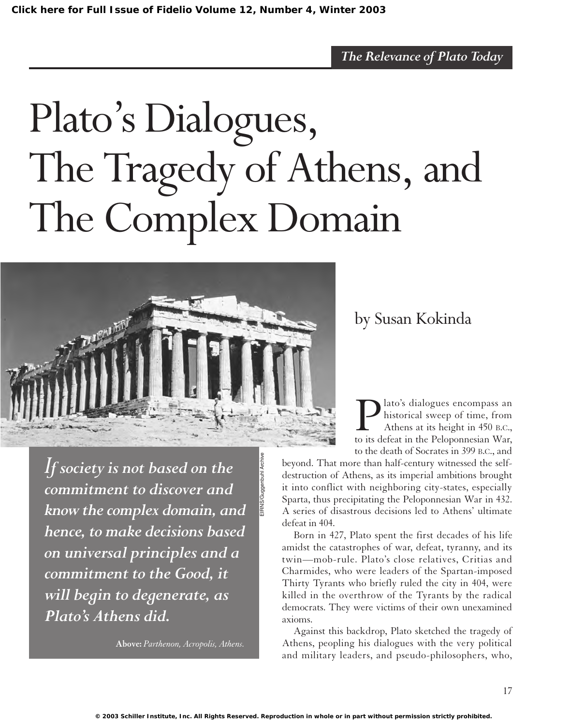# Plato's Dialogues, The Tragedy of Athens, and The Complex Domain

EIRNS/Guggenbuhl Archive



by Susan Kokinda

**P** lato's dialogues encompass an historical sweep of time, from Athens at its height in 450 B.C., to its defeat in the Peloponnesian War, historical sweep of time, from Athens at its height in 450 B.C., to the death of Socrates in 399 B.C., and

*I<sup>f</sup> society is not based on the commitment to discover and know the complex domain, and hence, to make decisions based on universal principles and a commitment to the Good, it will begin to degenerate, as Plato's Athens did.*

**Above:** *Parthenon, Acropolis, Athens.*

beyond. That more than half-century witnessed the selfdestruction of Athens, as its imperial ambitions brought it into conflict with neighboring city-states, especially Sparta, thus precipitating the Peloponnesian War in 432. A series of disastrous decisions led to Athens' ultimate defeat in 404.

Born in 427, Plato spent the first decades of his life amidst the catastrophes of war, defeat, tyranny, and its twin—mob-rule. Plato's close relatives, Critias and Charmides, who were leaders of the Spartan-imposed Thirty Tyrants who briefly ruled the city in 404, were killed in the overthrow of the Tyrants by the radical democrats. They were victims of their own unexamined axioms.

Against this backdrop, Plato sketched the tragedy of Athens, peopling his dialogues with the very political and military leaders, and pseudo-philosophers, who,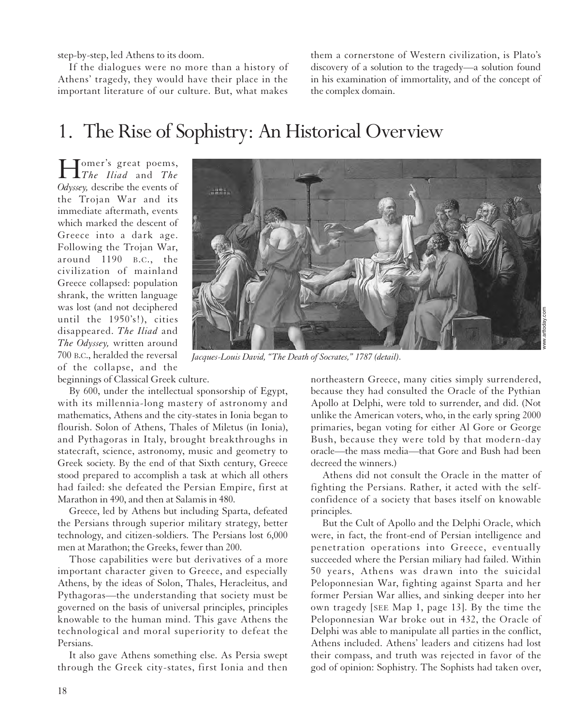step-by-step, led Athens to its doom.

If the dialogues were no more than a history of Athens' tragedy, they would have their place in the important literature of our culture. But, what makes

them a cornerstone of Western civilization, is Plato's discovery of a solution to the tragedy—a solution found in his examination of immortality, and of the concept of the complex domain.

# 1. The Rise of Sophistry: An Historical Overview

Homer's great poems, *The Iliad* and *The Odyssey,* describe the events of the Trojan War and its immediate aftermath, events which marked the descent of Greece into a dark age. Following the Trojan War, around 1190 B.C., the civilization of mainland Greece collapsed: population shrank, the written language was lost (and not deciphered until the 1950's!), cities disappeared. *The Iliad* and *The Odyssey,* written around 700 B.C., heralded the reversal of the collapse, and the



*Jacques-Louis David, "The Death of Socrates," 1787 (detail).*

www.arttoday.com

beginnings of Classical Greek culture.

By 600, under the intellectual sponsorship of Egypt, with its millennia-long mastery of astronomy and mathematics, Athens and the city-states in Ionia began to flourish. Solon of Athens, Thales of Miletus (in Ionia), and Pythagoras in Italy, brought breakthroughs in statecraft, science, astronomy, music and geometry to Greek society. By the end of that Sixth century, Greece stood prepared to accomplish a task at which all others had failed: she defeated the Persian Empire, first at Marathon in 490, and then at Salamis in 480.

Greece, led by Athens but including Sparta, defeated the Persians through superior military strategy, better technology, and citizen-soldiers. The Persians lost 6,000 men at Marathon; the Greeks, fewer than 200.

Those capabilities were but derivatives of a more important character given to Greece, and especially Athens, by the ideas of Solon, Thales, Heracleitus, and Pythagoras—the understanding that society must be governed on the basis of universal principles, principles knowable to the human mind. This gave Athens the technological and moral superiority to defeat the Persians.

It also gave Athens something else. As Persia swept through the Greek city-states, first Ionia and then

northeastern Greece, many cities simply surrendered, because they had consulted the Oracle of the Pythian Apollo at Delphi, were told to surrender, and did. (Not unlike the American voters, who, in the early spring 2000 primaries, began voting for either Al Gore or George Bush, because they were told by that modern-day oracle—the mass media—that Gore and Bush had been decreed the winners.)

Athens did not consult the Oracle in the matter of fighting the Persians. Rather, it acted with the selfconfidence of a society that bases itself on knowable principles.

But the Cult of Apollo and the Delphi Oracle, which were, in fact, the front-end of Persian intelligence and penetration operations into Greece, eventually succeeded where the Persian miliary had failed. Within 50 years, Athens was drawn into the suicidal Peloponnesian War, fighting against Sparta and her former Persian War allies, and sinking deeper into her own tragedy [SEE Map 1, page 13]. By the time the Peloponnesian War broke out in 432, the Oracle of Delphi was able to manipulate all parties in the conflict, Athens included. Athens' leaders and citizens had lost their compass, and truth was rejected in favor of the god of opinion: Sophistry. The Sophists had taken over,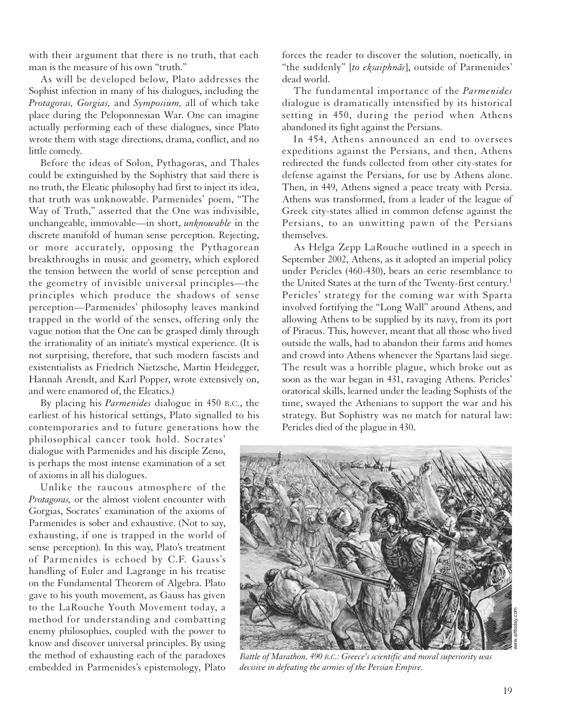with their argument that there is no truth, that each man is the measure of his own "truth."

As will be developed below, Plato addresses the Sophist infection in many of his dialogues, including the *Protagoras, Gorgias,* and *Symposium,* all of which take place during the Peloponnesian War. One can imagine actually performing each of these dialogues, since Plato wrote them with stage directions, drama, conflict, and no little comedy.

Before the ideas of Solon, Pythagoras, and Thales could be extinguished by the Sophistry that said there is no truth, the Eleatic philosophy had first to inject its idea, that truth was unknowable. Parmenides' poem, "The Way of Truth," asserted that the One was indivisible, unchangeable, immovable—in short, *unknowable* in the discrete manifold of human sense perception. Rejecting, or more accurately, opposing the Pythagorean breakthroughs in music and geometry, which explored the tension between the world of sense perception and the geometry of invisible universal principles—the principles which produce the shadows of sense perception—Parmenides' philosophy leaves mankind trapped in the world of the senses, offering only the vague notion that the One can be grasped dimly through the irrationality of an initiate's mystical experience. (It is not surprising, therefore, that such modern fascists and existentialists as Friedrich Nietzsche, Martin Heidegger, Hannah Arendt, and Karl Popper, wrote extensively on, and were enamored of, the Eleatics.)

By placing his *Parmenides* dialogue in 450 B.C., the earliest of his historical settings, Plato signalled to his contemporaries and to future generations how the

philosophical cancer took hold. Socrates' dialogue with Parmenides and his disciple Zeno, is perhaps the most intense examination of a set of axioms in all his dialogues.

Unlike the raucous atmosphere of the *Protagoras,* or the almost violent encounter with Gorgias, Socrates' examination of the axioms of Parmenides is sober and exhaustive. (Not to say, exhausting, if one is trapped in the world of sense perception). In this way, Plato's treatment of Parmenides is echoed by C.F. Gauss's handling of Euler and Lagrange in his treatise on the Fundamental Theorem of Algebra. Plato gave to his youth movement, as Gauss has given to the LaRouche Youth Movement today, a method for understanding and combatting enemy philosophies, coupled with the power to know and discover universal principles. By using the method of exhausting each of the paradoxes embedded in Parmenides's epistemology, Plato

forces the reader to discover the solution, noetically, in "the suddenly" [to eksaiphnās], outside of Parmenides' dead world.

The fundamental importance of the *Parmenides* dialogue is dramatically intensified by its historical setting in 450, during the period when Athens abandoned its fight against the Persians.

In 454, Athens announced an end to oversees expeditions against the Persians, and then, Athens redirected the funds collected from other city-states for defense against the Persians, for use by Athens alone. Then, in 449, Athens signed a peace treaty with Persia. Athens was transformed, from a leader of the league of Greek city-states allied in common defense against the Persians, to an unwitting pawn of the Persians themselves.

As Helga Zepp LaRouche outlined in a speech in September 2002, Athens, as it adopted an imperial policy under Pericles (460-430), bears an eerie resemblance to the United States at the turn of the Twenty-first century.<sup>1</sup> Pericles' strategy for the coming war with Sparta involved fortifying the "Long Wall" around Athens, and allowing Athens to be supplied by its navy, from its port of Piraeus. This, however, meant that all those who lived outside the walls, had to abandon their farms and homes and crowd into Athens whenever the Spartans laid siege. The result was a horrible plague, which broke out as soon as the war began in 431, ravaging Athens. Pericles' oratorical skills, learned under the leading Sophists of the time, swayed the Athenians to support the war and his strategy. But Sophistry was no match for natural law: Pericles died of the plague in 430.



*Battle of Marathon, 490 B.C.: Greece's scientific and moral superiority was decisive in defeating the armies of the Persian Empire.*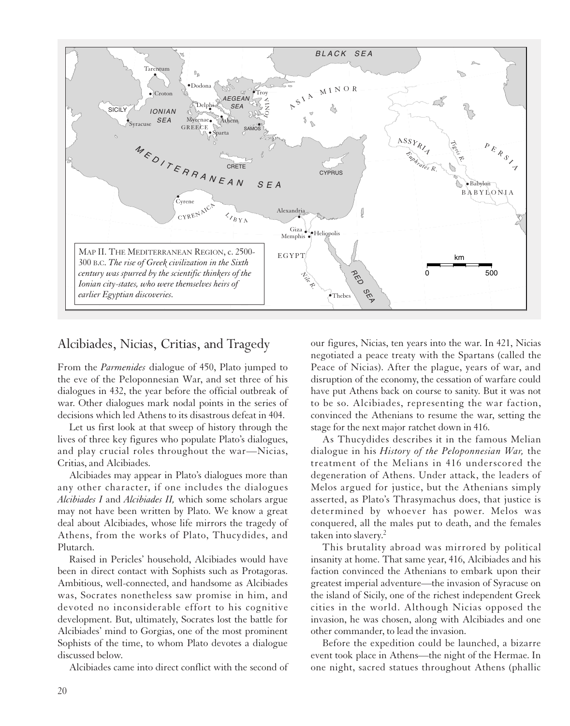

### Alcibiades, Nicias, Critias, and Tragedy

From the *Parmenides* dialogue of 450, Plato jumped to the eve of the Peloponnesian War, and set three of his dialogues in 432, the year before the official outbreak of war. Other dialogues mark nodal points in the series of decisions which led Athens to its disastrous defeat in 404.

Let us first look at that sweep of history through the lives of three key figures who populate Plato's dialogues, and play crucial roles throughout the war—Nicias, Critias, and Alcibiades.

Alcibiades may appear in Plato's dialogues more than any other character, if one includes the dialogues *Alcibiades I* and *Alcibiades II,* which some scholars argue may not have been written by Plato. We know a great deal about Alcibiades, whose life mirrors the tragedy of Athens, from the works of Plato, Thucydides, and Plutarch.

Raised in Pericles' household, Alcibiades would have been in direct contact with Sophists such as Protagoras. Ambitious, well-connected, and handsome as Alcibiades was, Socrates nonetheless saw promise in him, and devoted no inconsiderable effort to his cognitive development. But, ultimately, Socrates lost the battle for Alcibiades' mind to Gorgias, one of the most prominent Sophists of the time, to whom Plato devotes a dialogue discussed below.

Alcibiades came into direct conflict with the second of

our figures, Nicias, ten years into the war. In 421, Nicias negotiated a peace treaty with the Spartans (called the Peace of Nicias). After the plague, years of war, and disruption of the economy, the cessation of warfare could have put Athens back on course to sanity. But it was not to be so. Alcibiades, representing the war faction, convinced the Athenians to resume the war, setting the stage for the next major ratchet down in 416.

As Thucydides describes it in the famous Melian dialogue in his *History of the Peloponnesian War,* the treatment of the Melians in 416 underscored the degeneration of Athens. Under attack, the leaders of Melos argued for justice, but the Athenians simply asserted, as Plato's Thrasymachus does, that justice is determined by whoever has power. Melos was conquered, all the males put to death, and the females taken into slavery.2

This brutality abroad was mirrored by political insanity at home. That same year, 416, Alcibiades and his faction convinced the Athenians to embark upon their greatest imperial adventure—the invasion of Syracuse on the island of Sicily, one of the richest independent Greek cities in the world. Although Nicias opposed the invasion, he was chosen, along with Alcibiades and one other commander, to lead the invasion.

Before the expedition could be launched, a bizarre event took place in Athens—the night of the Hermae. In one night, sacred statues throughout Athens (phallic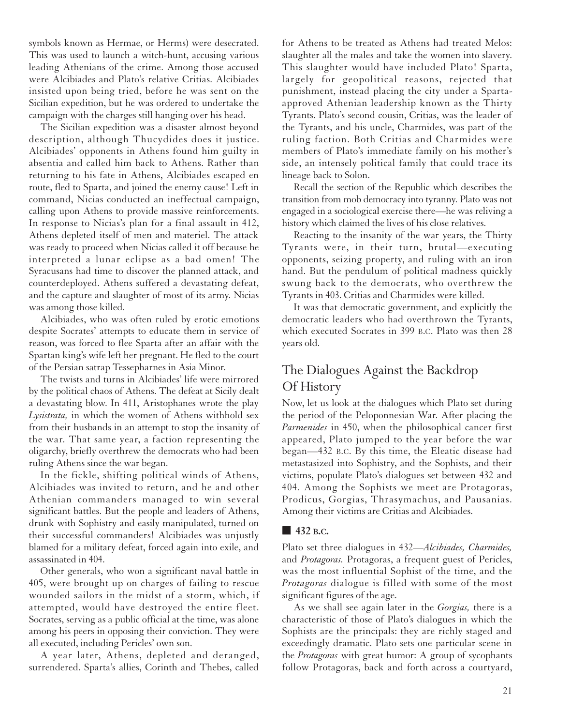symbols known as Hermae, or Herms) were desecrated. This was used to launch a witch-hunt, accusing various leading Athenians of the crime. Among those accused were Alcibiades and Plato's relative Critias. Alcibiades insisted upon being tried, before he was sent on the Sicilian expedition, but he was ordered to undertake the campaign with the charges still hanging over his head.

The Sicilian expedition was a disaster almost beyond description, although Thucydides does it justice. Alcibiades' opponents in Athens found him guilty in absentia and called him back to Athens. Rather than returning to his fate in Athens, Alcibiades escaped en route, fled to Sparta, and joined the enemy cause! Left in command, Nicias conducted an ineffectual campaign, calling upon Athens to provide massive reinforcements. In response to Nicias's plan for a final assault in 412, Athens depleted itself of men and materiel. The attack was ready to proceed when Nicias called it off because he interpreted a lunar eclipse as a bad omen! The Syracusans had time to discover the planned attack, and counterdeployed. Athens suffered a devastating defeat, and the capture and slaughter of most of its army. Nicias was among those killed.

Alcibiades, who was often ruled by erotic emotions despite Socrates' attempts to educate them in service of reason, was forced to flee Sparta after an affair with the Spartan king's wife left her pregnant. He fled to the court of the Persian satrap Tessepharnes in Asia Minor.

The twists and turns in Alcibiades' life were mirrored by the political chaos of Athens. The defeat at Sicily dealt a devastating blow. In 411, Aristophanes wrote the play *Lysistrata,* in which the women of Athens withhold sex from their husbands in an attempt to stop the insanity of the war. That same year, a faction representing the oligarchy, briefly overthrew the democrats who had been ruling Athens since the war began.

In the fickle, shifting political winds of Athens, Alcibiades was invited to return, and he and other Athenian commanders managed to win several significant battles. But the people and leaders of Athens, drunk with Sophistry and easily manipulated, turned on their successful commanders! Alcibiades was unjustly blamed for a military defeat, forced again into exile, and assassinated in 404.

Other generals, who won a significant naval battle in 405, were brought up on charges of failing to rescue wounded sailors in the midst of a storm, which, if attempted, would have destroyed the entire fleet. Socrates, serving as a public official at the time, was alone among his peers in opposing their conviction. They were all executed, including Pericles' own son.

A year later, Athens, depleted and deranged, surrendered. Sparta's allies, Corinth and Thebes, called

for Athens to be treated as Athens had treated Melos: slaughter all the males and take the women into slavery. This slaughter would have included Plato! Sparta, largely for geopolitical reasons, rejected that punishment, instead placing the city under a Spartaapproved Athenian leadership known as the Thirty Tyrants. Plato's second cousin, Critias, was the leader of the Tyrants, and his uncle, Charmides, was part of the ruling faction. Both Critias and Charmides were members of Plato's immediate family on his mother's side, an intensely political family that could trace its lineage back to Solon.

Recall the section of the Republic which describes the transition from mob democracy into tyranny. Plato was not engaged in a sociological exercise there—he was reliving a history which claimed the lives of his close relatives.

Reacting to the insanity of the war years, the Thirty Tyrants were, in their turn, brutal—executing opponents, seizing property, and ruling with an iron hand. But the pendulum of political madness quickly swung back to the democrats, who overthrew the Tyrants in 403. Critias and Charmides were killed.

It was that democratic government, and explicitly the democratic leaders who had overthrown the Tyrants, which executed Socrates in 399 B.C. Plato was then 28 years old.

## The Dialogues Against the Backdrop Of History

Now, let us look at the dialogues which Plato set during the period of the Peloponnesian War. After placing the *Parmenides* in 450, when the philosophical cancer first appeared, Plato jumped to the year before the war began—432 B.C. By this time, the Eleatic disease had metastasized into Sophistry, and the Sophists, and their victims, populate Plato's dialogues set between 432 and 404. Among the Sophists we meet are Protagoras, Prodicus, Gorgias, Thrasymachus, and Pausanias. Among their victims are Critias and Alcibiades.

#### **■ 432 B.C.**

Plato set three dialogues in 432—*Alcibiades, Charmides,* and *Protagoras.* Protagoras, a frequent guest of Pericles, was the most influential Sophist of the time, and the *Protagoras* dialogue is filled with some of the most significant figures of the age.

As we shall see again later in the *Gorgias,* there is a characteristic of those of Plato's dialogues in which the Sophists are the principals: they are richly staged and exceedingly dramatic. Plato sets one particular scene in the *Protagoras* with great humor: A group of sycophants follow Protagoras, back and forth across a courtyard,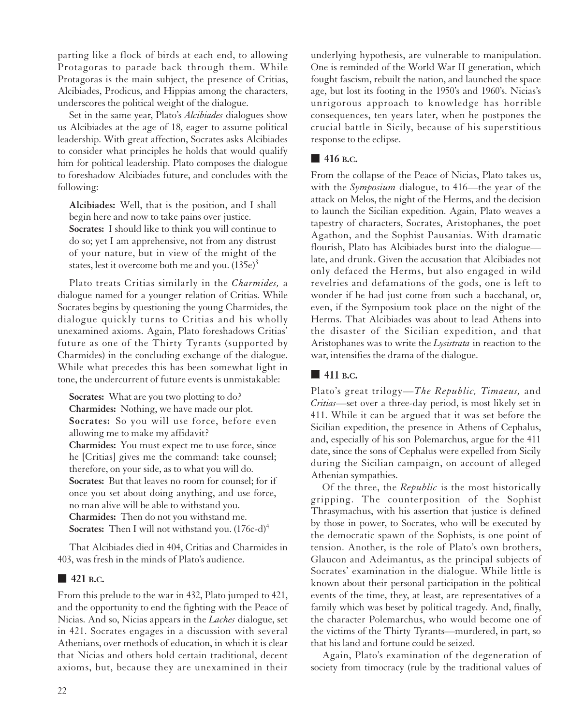parting like a flock of birds at each end, to allowing Protagoras to parade back through them. While Protagoras is the main subject, the presence of Critias, Alcibiades, Prodicus, and Hippias among the characters, underscores the political weight of the dialogue.

Set in the same year, Plato's *Alcibiades* dialogues show us Alcibiades at the age of 18, eager to assume political leadership. With great affection, Socrates asks Alcibiades to consider what principles he holds that would qualify him for political leadership. Plato composes the dialogue to foreshadow Alcibiades future, and concludes with the following:

**Alcibiades:** Well, that is the position, and I shall begin here and now to take pains over justice. **Socrates:** I should like to think you will continue to do so; yet I am apprehensive, not from any distrust of your nature, but in view of the might of the states, lest it overcome both me and you.  $(135e)^3$ 

Plato treats Critias similarly in the *Charmides,* a dialogue named for a younger relation of Critias. While Socrates begins by questioning the young Charmides, the dialogue quickly turns to Critias and his wholly unexamined axioms. Again, Plato foreshadows Critias' future as one of the Thirty Tyrants (supported by Charmides) in the concluding exchange of the dialogue. While what precedes this has been somewhat light in tone, the undercurrent of future events is unmistakable:

**Socrates:** What are you two plotting to do? **Charmides:** Nothing, we have made our plot. **Socrates:** So you will use force, before even allowing me to make my affidavit? **Charmides:** You must expect me to use force, since he [Critias] gives me the command: take counsel; therefore, on your side, as to what you will do. **Socrates:** But that leaves no room for counsel; for if once you set about doing anything, and use force, no man alive will be able to withstand you. **Charmides:** Then do not you withstand me. **Socrates:** Then I will not withstand you.  $(176c-d)^4$ 

That Alcibiades died in 404, Critias and Charmides in 403, was fresh in the minds of Plato's audience.

#### ■ **421 B.C.**

From this prelude to the war in 432, Plato jumped to 421, and the opportunity to end the fighting with the Peace of Nicias. And so, Nicias appears in the *Laches* dialogue, set in 421. Socrates engages in a discussion with several Athenians, over methods of education, in which it is clear that Nicias and others hold certain traditional, decent axioms, but, because they are unexamined in their underlying hypothesis, are vulnerable to manipulation. One is reminded of the World War II generation, which fought fascism, rebuilt the nation, and launched the space age, but lost its footing in the 1950's and 1960's. Nicias's unrigorous approach to knowledge has horrible consequences, ten years later, when he postpones the crucial battle in Sicily, because of his superstitious response to the eclipse.

#### ■ **416 B.C.**

From the collapse of the Peace of Nicias, Plato takes us, with the *Symposium* dialogue, to 416—the year of the attack on Melos, the night of the Herms, and the decision to launch the Sicilian expedition. Again, Plato weaves a tapestry of characters, Socrates, Aristophanes, the poet Agathon, and the Sophist Pausanias. With dramatic flourish, Plato has Alcibiades burst into the dialogue late, and drunk. Given the accusation that Alcibiades not only defaced the Herms, but also engaged in wild revelries and defamations of the gods, one is left to wonder if he had just come from such a bacchanal, or, even, if the Symposium took place on the night of the Herms. That Alcibiades was about to lead Athens into the disaster of the Sicilian expedition, and that Aristophanes was to write the *Lysistrata* in reaction to the war, intensifies the drama of the dialogue.

#### **■ 411 B.C.**

Plato's great trilogy—*The Republic, Timaeus,* and *Critias*—set over a three-day period, is most likely set in 411. While it can be argued that it was set before the Sicilian expedition, the presence in Athens of Cephalus, and, especially of his son Polemarchus, argue for the 411 date, since the sons of Cephalus were expelled from Sicily during the Sicilian campaign, on account of alleged Athenian sympathies.

Of the three, the *Republic* is the most historically gripping. The counterposition of the Sophist Thrasymachus, with his assertion that justice is defined by those in power, to Socrates, who will be executed by the democratic spawn of the Sophists, is one point of tension. Another, is the role of Plato's own brothers, Glaucon and Adeimantus, as the principal subjects of Socrates' examination in the dialogue. While little is known about their personal participation in the political events of the time, they, at least, are representatives of a family which was beset by political tragedy. And, finally, the character Polemarchus, who would become one of the victims of the Thirty Tyrants—murdered, in part, so that his land and fortune could be seized.

Again, Plato's examination of the degeneration of society from timocracy (rule by the traditional values of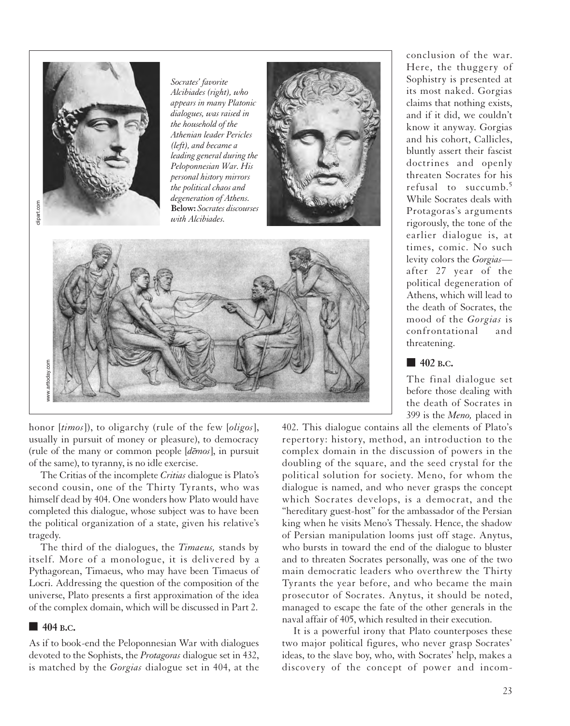

*Socrates' favorite Alcibiades (right), who appears in many Platonic dialogues, was raised in the household of the Athenian leader Pericles (left), and became a leading general during the Peloponnesian War. His personal history mirrors the political chaos and degeneration of Athens.*



honor [*timos*]), to oligarchy (rule of the few [*oligos*], usually in pursuit of money or pleasure), to democracy (rule of the many or common people [demos], in pursuit of the same), to tyranny, is no idle exercise.

The Critias of the incomplete *Critias* dialogue is Plato's second cousin, one of the Thirty Tyrants, who was himself dead by 404. One wonders how Plato would have completed this dialogue, whose subject was to have been the political organization of a state, given his relative's tragedy.

The third of the dialogues, the *Timaeus,* stands by itself. More of a monologue, it is delivered by a Pythagorean, Timaeus, who may have been Timaeus of Locri. Addressing the question of the composition of the universe, Plato presents a first approximation of the idea of the complex domain, which will be discussed in Part 2.

#### **■ 404 B.C.**

As if to book-end the Peloponnesian War with dialogues devoted to the Sophists, the *Protagoras* dialogue set in 432, is matched by the *Gorgias* dialogue set in 404, at the conclusion of the war. Here, the thuggery of Sophistry is presented at its most naked. Gorgias claims that nothing exists, and if it did, we couldn't know it anyway. Gorgias and his cohort, Callicles, bluntly assert their fascist doctrines and openly threaten Socrates for his refusal to succumb.<sup>5</sup> While Socrates deals with Protagoras's arguments rigorously, the tone of the earlier dialogue is, at times, comic. No such levity colors the *Gorgias* after 27 year of the political degeneration of Athens, which will lead to the death of Socrates, the mood of the *Gorgias* is confrontational and threatening.

#### ■ **402 B.C.**

The final dialogue set before those dealing with the death of Socrates in 399 is the *Meno,* placed in

402. This dialogue contains all the elements of Plato's repertory: history, method, an introduction to the complex domain in the discussion of powers in the doubling of the square, and the seed crystal for the political solution for society. Meno, for whom the dialogue is named, and who never grasps the concept which Socrates develops, is a democrat, and the "hereditary guest-host" for the ambassador of the Persian king when he visits Meno's Thessaly. Hence, the shadow of Persian manipulation looms just off stage. Anytus, who bursts in toward the end of the dialogue to bluster and to threaten Socrates personally, was one of the two main democratic leaders who overthrew the Thirty Tyrants the year before, and who became the main prosecutor of Socrates. Anytus, it should be noted, managed to escape the fate of the other generals in the naval affair of 405, which resulted in their execution.

It is a powerful irony that Plato counterposes these two major political figures, who never grasp Socrates' ideas, to the slave boy, who, with Socrates' help, makes a discovery of the concept of power and incom-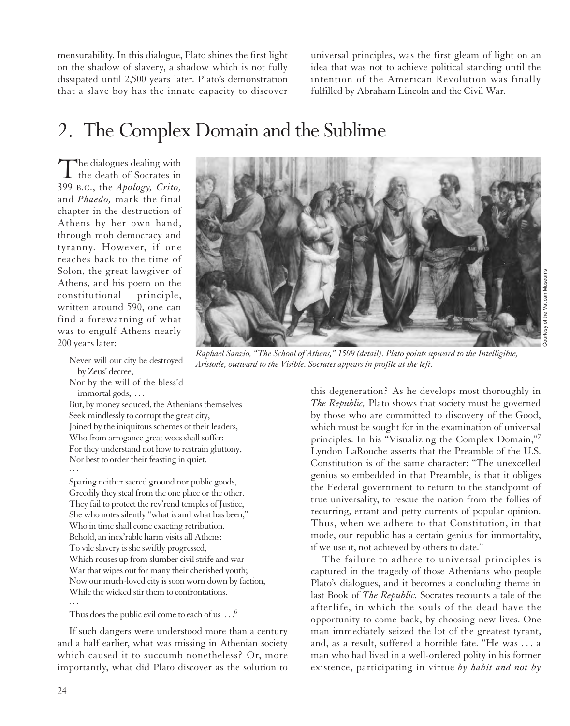mensurability. In this dialogue, Plato shines the first light on the shadow of slavery, a shadow which is not fully dissipated until 2,500 years later. Plato's demonstration that a slave boy has the innate capacity to discover universal principles, was the first gleam of light on an idea that was not to achieve political standing until the intention of the American Revolution was finally fulfilled by Abraham Lincoln and the Civil War.

# 2. The Complex Domain and the Sublime

The dialogues dealing with  $\mathbf 1$  the death of Socrates in 399 B.C., the *Apology, Crito,* and *Phaedo,* mark the final chapter in the destruction of Athens by her own hand, through mob democracy and tyranny. However, if one reaches back to the time of Solon, the great lawgiver of Athens, and his poem on the constitutional principle, written around 590, one can find a forewarning of what was to engulf Athens nearly 200 years later:

Never will our city be destroyed by Zeus' decree,

Nor by the will of the bless'd immortal gods, . . .

But, by money seduced, the Athenians themselves Seek mindlessly to corrupt the great city, Joined by the iniquitous schemes of their leaders, Who from arrogance great woes shall suffer: For they understand not how to restrain gluttony, Nor best to order their feasting in quiet. ...

Sparing neither sacred ground nor public goods, Greedily they steal from the one place or the other. They fail to protect the rev'rend temples of Justice, She who notes silently "what is and what has been," Who in time shall come exacting retribution. Behold, an inex'rable harm visits all Athens: To vile slavery is she swiftly progressed, Which rouses up from slumber civil strife and war— War that wipes out for many their cherished youth; Now our much-loved city is soon worn down by faction, While the wicked stir them to confrontations. ...

Thus does the public evil come to each of us  $\ldots$ <sup>6</sup>

If such dangers were understood more than a century and a half earlier, what was missing in Athenian society which caused it to succumb nonetheless? Or, more importantly, what did Plato discover as the solution to



*Raphael Sanzio, "The School of Athens," 1509 (detail). Plato points upward to the Intelligible, Aristotle, outward to the Visible. Socrates appears in profile at the left.*

this degeneration? As he develops most thoroughly in *The Republic,* Plato shows that society must be governed by those who are committed to discovery of the Good, which must be sought for in the examination of universal principles. In his "Visualizing the Complex Domain,"7 Lyndon LaRouche asserts that the Preamble of the U.S. Constitution is of the same character: "The unexcelled genius so embedded in that Preamble, is that it obliges the Federal government to return to the standpoint of true universality, to rescue the nation from the follies of recurring, errant and petty currents of popular opinion. Thus, when we adhere to that Constitution, in that mode, our republic has a certain genius for immortality, if we use it, not achieved by others to date."

The failure to adhere to universal principles is captured in the tragedy of those Athenians who people Plato's dialogues, and it becomes a concluding theme in last Book of *The Republic.* Socrates recounts a tale of the afterlife, in which the souls of the dead have the opportunity to come back, by choosing new lives. One man immediately seized the lot of the greatest tyrant, and, as a result, suffered a horrible fate. "He was . . . a man who had lived in a well-ordered polity in his former existence, participating in virtue *by habit and not by*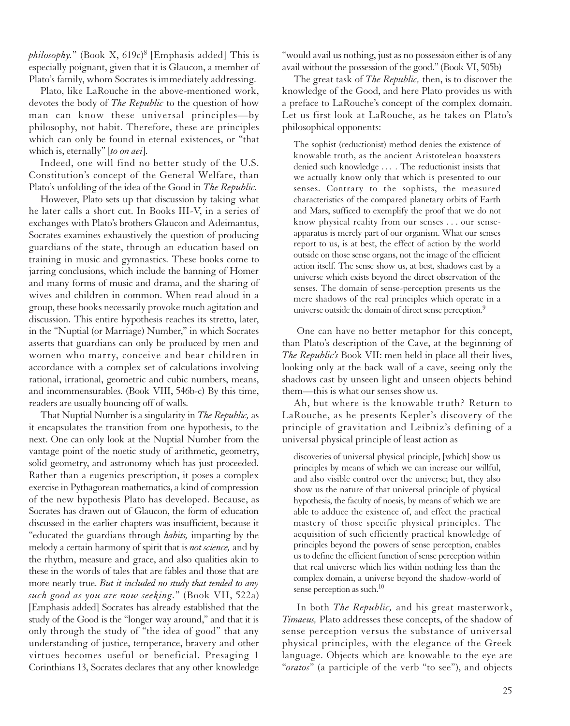*philosophy.*" (Book X,  $619c$ <sup>8</sup> [Emphasis added] This is especially poignant, given that it is Glaucon, a member of Plato's family, whom Socrates is immediately addressing.

Plato, like LaRouche in the above-mentioned work, devotes the body of *The Republic* to the question of how man can know these universal principles—by philosophy, not habit. Therefore, these are principles which can only be found in eternal existences, or "that which is, eternally" [*to on aei*].

Indeed, one will find no better study of the U.S. Constitution's concept of the General Welfare, than Plato's unfolding of the idea of the Good in *The Republic.*

However, Plato sets up that discussion by taking what he later calls a short cut. In Books III-V, in a series of exchanges with Plato's brothers Glaucon and Adeimantus, Socrates examines exhaustively the question of producing guardians of the state, through an education based on training in music and gymnastics. These books come to jarring conclusions, which include the banning of Homer and many forms of music and drama, and the sharing of wives and children in common. When read aloud in a group, these books necessarily provoke much agitation and discussion. This entire hypothesis reaches its stretto, later, in the "Nuptial (or Marriage) Number," in which Socrates asserts that guardians can only be produced by men and women who marry, conceive and bear children in accordance with a complex set of calculations involving rational, irrational, geometric and cubic numbers, means, and incommensurables. (Book VIII, 546b-c) By this time, readers are usually bouncing off of walls.

That Nuptial Number is a singularity in *The Republic,* as it encapsulates the transition from one hypothesis, to the next. One can only look at the Nuptial Number from the vantage point of the noetic study of arithmetic, geometry, solid geometry, and astronomy which has just proceeded. Rather than a eugenics prescription, it poses a complex exercise in Pythagorean mathematics, a kind of compression of the new hypothesis Plato has developed. Because, as Socrates has drawn out of Glaucon, the form of education discussed in the earlier chapters was insufficient, because it "educated the guardians through *habits,* imparting by the melody a certain harmony of spirit that is *not science,* and by the rhythm, measure and grace, and also qualities akin to these in the words of tales that are fables and those that are more nearly true. *But it included no study that tended to any such good as you are now seeking.*" (Book VII, 522a) [Emphasis added] Socrates has already established that the study of the Good is the "longer way around," and that it is only through the study of "the idea of good" that any understanding of justice, temperance, bravery and other virtues becomes useful or beneficial. Presaging 1 Corinthians 13, Socrates declares that any other knowledge

"would avail us nothing, just as no possession either is of any avail without the possession of the good." (Book VI, 505b)

The great task of *The Republic,* then, is to discover the knowledge of the Good, and here Plato provides us with a preface to LaRouche's concept of the complex domain. Let us first look at LaRouche, as he takes on Plato's philosophical opponents:

The sophist (reductionist) method denies the existence of knowable truth, as the ancient Aristotelean hoaxsters denied such knowledge . . . . The reductionist insists that we actually know only that which is presented to our senses. Contrary to the sophists, the measured characteristics of the compared planetary orbits of Earth and Mars, sufficed to exemplify the proof that we do not know physical reality from our senses . . . our senseapparatus is merely part of our organism. What our senses report to us, is at best, the effect of action by the world outside on those sense organs, not the image of the efficient action itself. The sense show us, at best, shadows cast by a universe which exists beyond the direct observation of the senses. The domain of sense-perception presents us the mere shadows of the real principles which operate in a universe outside the domain of direct sense perception.<sup>9</sup>

One can have no better metaphor for this concept, than Plato's description of the Cave, at the beginning of *The Republic's* Book VII: men held in place all their lives, looking only at the back wall of a cave, seeing only the shadows cast by unseen light and unseen objects behind them—this is what our senses show us.

Ah, but where is the knowable truth? Return to LaRouche, as he presents Kepler's discovery of the principle of gravitation and Leibniz's defining of a universal physical principle of least action as

discoveries of universal physical principle, [which] show us principles by means of which we can increase our willful, and also visible control over the universe; but, they also show us the nature of that universal principle of physical hypothesis, the faculty of noesis, by means of which we are able to adduce the existence of, and effect the practical mastery of those specific physical principles. The acquisition of such efficiently practical knowledge of principles beyond the powers of sense perception, enables us to define the efficient function of sense perception within that real universe which lies within nothing less than the complex domain, a universe beyond the shadow-world of sense perception as such.<sup>10</sup>

In both *The Republic,* and his great masterwork, *Timaeus,* Plato addresses these concepts, of the shadow of sense perception versus the substance of universal physical principles, with the elegance of the Greek language. Objects which are knowable to the eye are "*oratos*" (a participle of the verb "to see"), and objects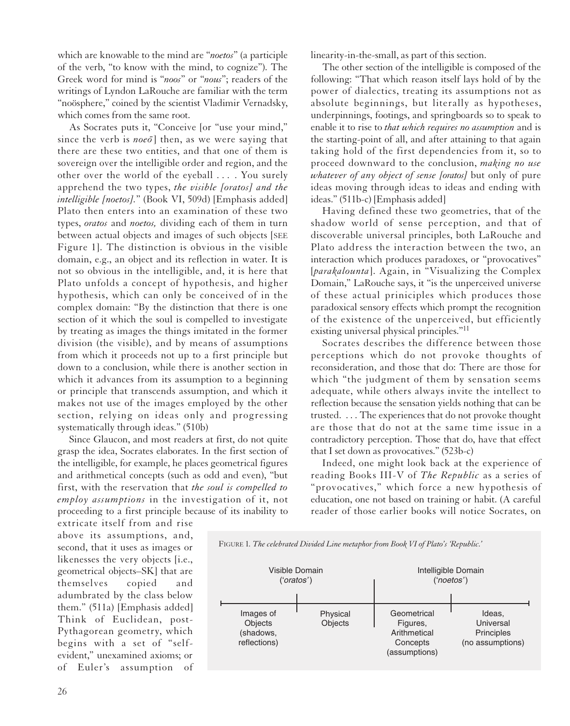which are knowable to the mind are "*noetos*" (a participle of the verb, "to know with the mind, to cognize"). The Greek word for mind is "*noos*" or "*nous*"; readers of the writings of Lyndon LaRouche are familiar with the term "noösphere," coined by the scientist Vladimir Vernadsky, which comes from the same root.

As Socrates puts it, "Conceive [or "use your mind," since the verb is *noeo*<sup> $\overline{0}$ </sup> then, as we were saying that there are these two entities, and that one of them is sovereign over the intelligible order and region, and the other over the world of the eyeball . . . . You surely apprehend the two types, *the visible [oratos] and the intelligible [noetos].*" (Book VI, 509d) [Emphasis added] Plato then enters into an examination of these two types, *oratos* and *noetos,* dividing each of them in turn between actual objects and images of such objects [SEE Figure 1]. The distinction is obvious in the visible domain, e.g., an object and its reflection in water. It is not so obvious in the intelligible, and, it is here that Plato unfolds a concept of hypothesis, and higher hypothesis, which can only be conceived of in the complex domain: "By the distinction that there is one section of it which the soul is compelled to investigate by treating as images the things imitated in the former division (the visible), and by means of assumptions from which it proceeds not up to a first principle but down to a conclusion, while there is another section in which it advances from its assumption to a beginning or principle that transcends assumption, and which it makes not use of the images employed by the other section, relying on ideas only and progressing systematically through ideas." (510b)

Since Glaucon, and most readers at first, do not quite grasp the idea, Socrates elaborates. In the first section of the intelligible, for example, he places geometrical figures and arithmetical concepts (such as odd and even), "but first, with the reservation that *the soul is compelled to employ assumptions* in the investigation of it, not proceeding to a first principle because of its inability to

extricate itself from and rise above its assumptions, and, second, that it uses as images or likenesses the very objects [i.e., geometrical objects–SK] that are themselves copied and adumbrated by the class below them." (511a) [Emphasis added] Think of Euclidean, post-Pythagorean geometry, which begins with a set of "selfevident," unexamined axioms; or of Euler's assumption of linearity-in-the-small, as part of this section.

The other section of the intelligible is composed of the following: "That which reason itself lays hold of by the power of dialectics, treating its assumptions not as absolute beginnings, but literally as hypotheses, underpinnings, footings, and springboards so to speak to enable it to rise to *that which requires no assumption* and is the starting-point of all, and after attaining to that again taking hold of the first dependencies from it, so to proceed downward to the conclusion, *making no use whatever of any object of sense [oratos]* but only of pure ideas moving through ideas to ideas and ending with ideas." (511b-c) [Emphasis added]

Having defined these two geometries, that of the shadow world of sense perception, and that of discoverable universal principles, both LaRouche and Plato address the interaction between the two, an interaction which produces paradoxes, or "provocatives" [*parakalounta*]. Again, in "Visualizing the Complex Domain," LaRouche says, it "is the unperceived universe of these actual priniciples which produces those paradoxical sensory effects which prompt the recognition of the existence of the unperceived, but efficiently existing universal physical principles."<sup>11</sup>

Socrates describes the difference between those perceptions which do not provoke thoughts of reconsideration, and those that do: There are those for which "the judgment of them by sensation seems adequate, while others always invite the intellect to reflection because the sensation yields nothing that can be trusted. . . . The experiences that do not provoke thought are those that do not at the same time issue in a contradictory perception. Those that do, have that effect that I set down as provocatives." (523b-c)

Indeed, one might look back at the experience of reading Books III-V of *The Republic* as a series of "provocatives," which force a new hypothesis of education, one not based on training or habit. (A careful reader of those earlier books will notice Socrates, on